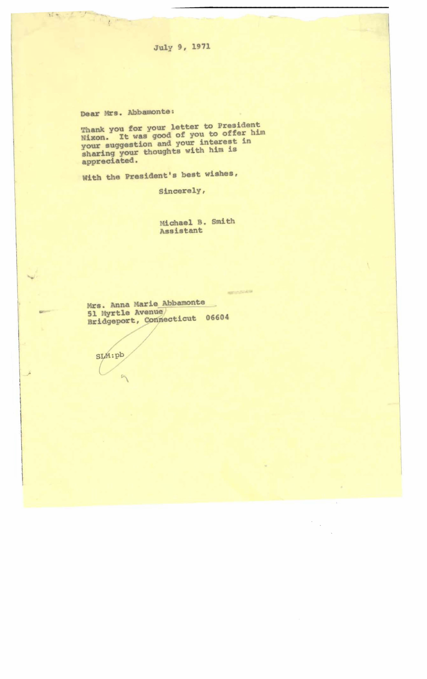July 9, 1971

Dear Mrs. Abbamonte:

New York

Thank you for your letter to President<br>Nixon. It was good of you to offer him<br>your suggestion and your interest in<br>sharing your thoughts with him is<br>appreciated.

With the President's best wishes,

Sincerely,

Michael B. Smith Assistant

aromatica della

Mrs. Anna Marie Abbamonte<br>51 Myrtle Avenue Bridgeport, Connecticut 06604

SLM:pb

 $\overline{B}$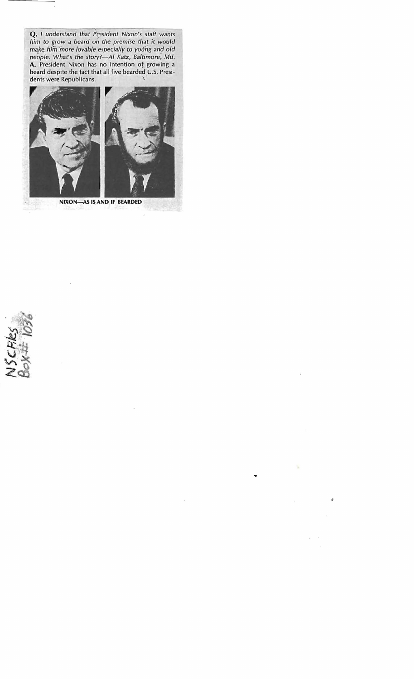**Q.** *I understand that President Nixon's staff wants him to grow* a *beard on the premise that it would*   $make$ , him more lovable especially to young and old people. What's the story?-Al Katz, Baltimore, Md. A. President Nixon has no intention of growing a beard despite the fact that all five bearded U.S. Presidents were Republicans.

- $\ddot{\phantom{0}}$ 



**NIXON-AS IS AND IF BEARDED** 



 $\overline{\mathcal{R}}$